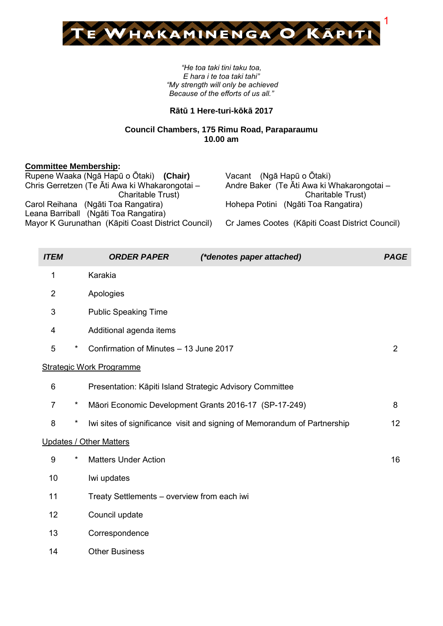

*"He toa taki tini taku toa, E hara i te toa taki tahi" "My strength will only be achieved Because of the efforts of us all."*

## **Rātū 1 Here-turi-kōkā 2017**

## **Council Chambers, 175 Rimu Road, Paraparaumu 10.00 am**

### **Committee Membership:**

| Rupene Waaka (Ngā Hapū o Ōtaki) (Chair)            | Vacant (Ngā Hapū o Ōtaki)                       |
|----------------------------------------------------|-------------------------------------------------|
| Chris Gerretzen (Te Āti Awa ki Whakarongotai -     | Andre Baker (Te Āti Awa ki Whakarongotai -      |
| Charitable Trust)                                  | Charitable Trust)                               |
| Carol Reihana (Ngāti Toa Rangatira)                | Hohepa Potini (Ngāti Toa Rangatira)             |
| Leana Barriball (Ngāti Toa Rangatira)              |                                                 |
| Mayor K Gurunathan (Kāpiti Coast District Council) | Cr James Cootes (Kāpiti Coast District Council) |
|                                                    |                                                 |

| <b>ITEM</b>    |         | <b>ORDER PAPER</b>                                       | <i>(*denotes paper attached)</i>                                         | <b>PAGE</b>    |
|----------------|---------|----------------------------------------------------------|--------------------------------------------------------------------------|----------------|
| 1              |         | Karakia                                                  |                                                                          |                |
| $\overline{2}$ |         | Apologies                                                |                                                                          |                |
| $\mathfrak{S}$ |         | <b>Public Speaking Time</b>                              |                                                                          |                |
| 4              |         | Additional agenda items                                  |                                                                          |                |
| 5              | $\star$ | Confirmation of Minutes - 13 June 2017                   |                                                                          | $\overline{2}$ |
|                |         | <b>Strategic Work Programme</b>                          |                                                                          |                |
| 6              |         | Presentation: Kāpiti Island Strategic Advisory Committee |                                                                          |                |
| $\overline{7}$ | $\star$ | Māori Economic Development Grants 2016-17 (SP-17-249)    |                                                                          | 8              |
| 8              | $\star$ |                                                          | Iwi sites of significance visit and signing of Memorandum of Partnership | 12             |
|                |         | <b>Updates / Other Matters</b>                           |                                                                          |                |
| 9              | $\star$ | <b>Matters Under Action</b>                              |                                                                          | 16             |
| 10             |         | Iwi updates                                              |                                                                          |                |
| 11             |         | Treaty Settlements - overview from each iwi              |                                                                          |                |
| 12             |         | Council update                                           |                                                                          |                |
| 13             |         | Correspondence                                           |                                                                          |                |
| 14             |         | <b>Other Business</b>                                    |                                                                          |                |
|                |         |                                                          |                                                                          |                |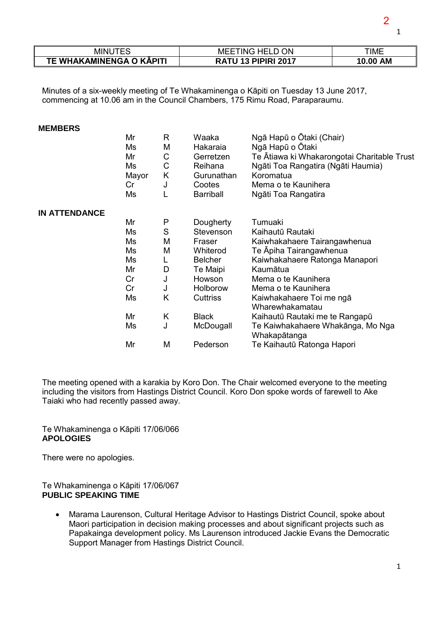| MINU                     | MEETING HELD ON            | TIME     |
|--------------------------|----------------------------|----------|
| TE WHAKAMINENGA O KĀPITI | <b>RATU 13 PIPIRI 2017</b> | 10.00 AM |

Minutes of a six-weekly meeting of Te Whakaminenga o Kāpiti on Tuesday 13 June 2017, commencing at 10.06 am in the Council Chambers, 175 Rimu Road, Paraparaumu.

#### **MEMBERS**

|                      | Mr<br>Ms<br>Mr<br>Ms<br>Mayor<br>Cr<br>Ms | R<br>M<br>С<br>С<br>Κ<br>J | Waaka<br>Hakaraia<br>Gerretzen<br>Reihana<br>Gurunathan<br>Cootes<br><b>Barriball</b> | Ngā Hapū o Ōtaki (Chair)<br>Ngā Hapū o Ōtaki<br>Te Ātiawa ki Whakarongotai Charitable Trust<br>Ngāti Toa Rangatira (Ngāti Haumia)<br>Koromatua<br>Mema o te Kaunihera<br>Ngāti Toa Rangatira |
|----------------------|-------------------------------------------|----------------------------|---------------------------------------------------------------------------------------|----------------------------------------------------------------------------------------------------------------------------------------------------------------------------------------------|
| <b>IN ATTENDANCE</b> |                                           |                            |                                                                                       |                                                                                                                                                                                              |
|                      | Mr                                        | P                          | Dougherty                                                                             | Tumuaki                                                                                                                                                                                      |
|                      | Ms                                        | S                          | Stevenson                                                                             | Kaihautū Rautaki                                                                                                                                                                             |
|                      | Ms                                        | M                          | Fraser                                                                                | Kaiwhakahaere Tairangawhenua                                                                                                                                                                 |
|                      | Ms                                        | M                          | Whiterod                                                                              | Te Āpiha Tairangawhenua                                                                                                                                                                      |
|                      | Ms                                        |                            | <b>Belcher</b>                                                                        | Kaiwhakahaere Ratonga Manapori                                                                                                                                                               |
|                      | Mr                                        | D                          | Te Maipi                                                                              | Kaumātua                                                                                                                                                                                     |
|                      | Cr                                        | J                          | Howson                                                                                | Mema o te Kaunihera                                                                                                                                                                          |
|                      | Cr                                        | J                          | <b>Holborow</b>                                                                       | Mema o te Kaunihera                                                                                                                                                                          |
|                      | Ms                                        | K                          | <b>Cuttriss</b>                                                                       | Kaiwhakahaere Toi me ngā<br>Wharewhakamatau                                                                                                                                                  |
|                      | Mr                                        | Κ                          | <b>Black</b>                                                                          | Kaihautū Rautaki me te Rangapū                                                                                                                                                               |
|                      | Ms                                        | J                          | McDougall                                                                             | Te Kaiwhakahaere Whakānga, Mo Nga<br>Whakapātanga                                                                                                                                            |
|                      | Mr                                        | M                          | Pederson                                                                              | Te Kaihautū Ratonga Hapori                                                                                                                                                                   |
|                      |                                           |                            |                                                                                       |                                                                                                                                                                                              |

The meeting opened with a karakia by Koro Don. The Chair welcomed everyone to the meeting including the visitors from Hastings District Council. Koro Don spoke words of farewell to Ake Taiaki who had recently passed away.

Te Whakaminenga o Kāpiti 17/06/066 **APOLOGIES** 

There were no apologies.

#### Te Whakaminenga o Kāpiti 17/06/067 **PUBLIC SPEAKING TIME**

 Marama Laurenson, Cultural Heritage Advisor to Hastings District Council, spoke about Maori participation in decision making processes and about significant projects such as Papakainga development policy. Ms Laurenson introduced Jackie Evans the Democratic Support Manager from Hastings District Council.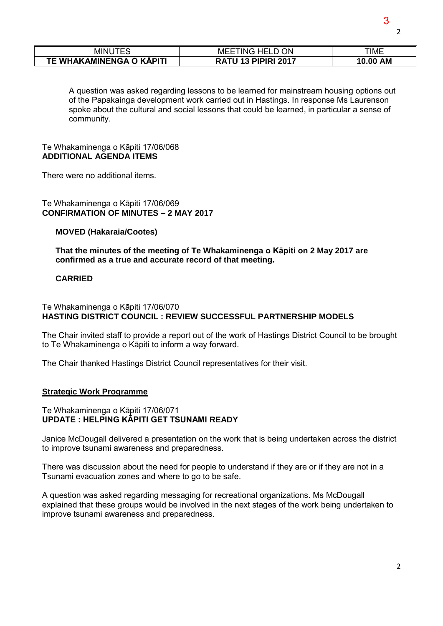| INUTE:<br>- ML           | ΟN<br>HELL.<br>MEE<br>ING. | ΓΙΜΕ     |
|--------------------------|----------------------------|----------|
| TE WHAKAMINENGA O KĀPITI | <b>RATU 13 PIPIRI 2017</b> | 10.00 AM |

A question was asked regarding lessons to be learned for mainstream housing options out of the Papakainga development work carried out in Hastings. In response Ms Laurenson spoke about the cultural and social lessons that could be learned, in particular a sense of community.

#### Te Whakaminenga o Kāpiti 17/06/068 **ADDITIONAL AGENDA ITEMS**

There were no additional items.

Te Whakaminenga o Kāpiti 17/06/069 **CONFIRMATION OF MINUTES – 2 MAY 2017** 

### **MOVED (Hakaraia/Cootes)**

**That the minutes of the meeting of Te Whakaminenga o Kāpiti on 2 May 2017 are confirmed as a true and accurate record of that meeting.** 

### **CARRIED**

### Te Whakaminenga o Kāpiti 17/06/070 **HASTING DISTRICT COUNCIL : REVIEW SUCCESSFUL PARTNERSHIP MODELS**

The Chair invited staff to provide a report out of the work of Hastings District Council to be brought to Te Whakaminenga o Kāpiti to inform a way forward.

The Chair thanked Hastings District Council representatives for their visit.

#### **Strategic Work Programme**

#### Te Whakaminenga o Kāpiti 17/06/071 **UPDATE : HELPING KĀPITI GET TSUNAMI READY**

Janice McDougall delivered a presentation on the work that is being undertaken across the district to improve tsunami awareness and preparedness.

There was discussion about the need for people to understand if they are or if they are not in a Tsunami evacuation zones and where to go to be safe.

A question was asked regarding messaging for recreational organizations. Ms McDougall explained that these groups would be involved in the next stages of the work being undertaken to improve tsunami awareness and preparedness.

3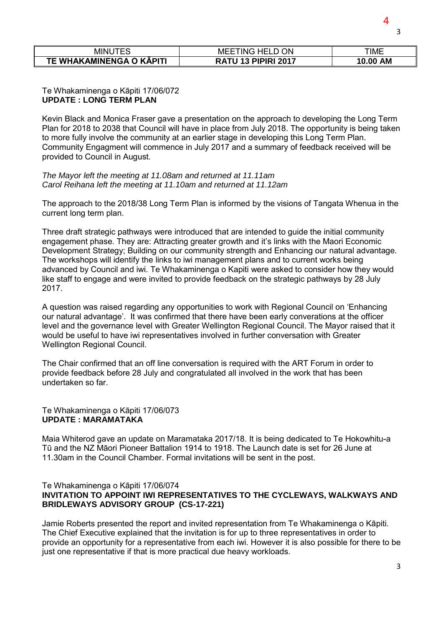| <b>MINUTES</b>           | <b>ON</b><br>TING HELI<br>MEE           | TIME               |
|--------------------------|-----------------------------------------|--------------------|
| TE WHAKAMINENGA O KĀPITI | <b>PIPIRI 2017</b><br>12<br><b>RATU</b> | <b>AM</b><br>10.00 |

#### Te Whakaminenga o Kāpiti 17/06/072 **UPDATE : LONG TERM PLAN**

Kevin Black and Monica Fraser gave a presentation on the approach to developing the Long Term Plan for 2018 to 2038 that Council will have in place from July 2018. The opportunity is being taken to more fully involve the community at an earlier stage in developing this Long Term Plan. Community Engagment will commence in July 2017 and a summary of feedback received will be provided to Council in August.

*The Mayor left the meeting at 11.08am and returned at 11.11am Carol Reihana left the meeting at 11.10am and returned at 11.12am* 

The approach to the 2018/38 Long Term Plan is informed by the visions of Tangata Whenua in the current long term plan.

Three draft strategic pathways were introduced that are intended to guide the initial community engagement phase. They are: Attracting greater growth and it's links with the Maori Economic Development Strategy; Building on our community strength and Enhancing our natural advantage. The workshops will identify the links to iwi management plans and to current works being advanced by Council and iwi. Te Whakaminenga o Kapiti were asked to consider how they would like staff to engage and were invited to provide feedback on the strategic pathways by 28 July 2017.

A question was raised regarding any opportunities to work with Regional Council on 'Enhancing our natural advantage'. It was confirmed that there have been early converations at the officer level and the governance level with Greater Wellington Regional Council. The Mayor raised that it would be useful to have iwi representatives involved in further conversation with Greater Wellington Regional Council.

The Chair confirmed that an off line conversation is required with the ART Forum in order to provide feedback before 28 July and congratulated all involved in the work that has been undertaken so far.

#### Te Whakaminenga o Kāpiti 17/06/073 **UPDATE : MARAMATAKA**

Maia Whiterod gave an update on Maramataka 2017/18. It is being dedicated to Te Hokowhitu-a Tū and the NZ Māori Pioneer Battalion 1914 to 1918. The Launch date is set for 26 June at 11.30am in the Council Chamber. Formal invitations will be sent in the post.

### Te Whakaminenga o Kāpiti 17/06/074 **INVITATION TO APPOINT IWI REPRESENTATIVES TO THE CYCLEWAYS, WALKWAYS AND BRIDLEWAYS ADVISORY GROUP (CS-17-221)**

Jamie Roberts presented the report and invited representation from Te Whakaminenga o Kāpiti. The Chief Executive explained that the invitation is for up to three representatives in order to provide an opportunity for a representative from each iwi. However it is also possible for there to be just one representative if that is more practical due heavy workloads.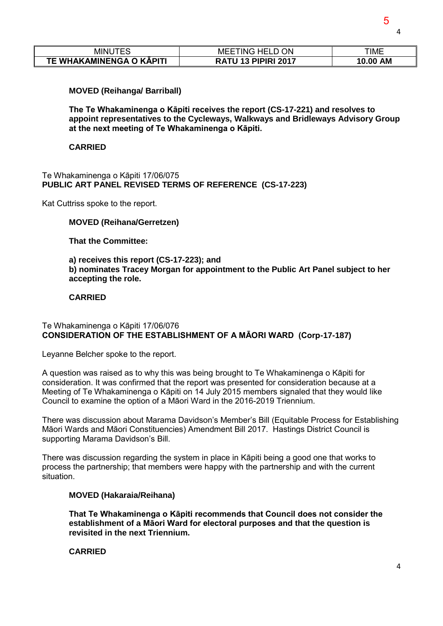4

| MINUTES                  | <b>ON</b><br>TING HELD<br>MEE | TIME               |
|--------------------------|-------------------------------|--------------------|
| TE WHAKAMINENGA O KĀPITI | <b>RATU 13 PIPIRI 2017</b>    | <b>AM</b><br>10.00 |

### **MOVED (Reihanga/ Barriball)**

**The Te Whakaminenga o Kāpiti receives the report (CS-17-221) and resolves to appoint representatives to the Cycleways, Walkways and Bridleways Advisory Group at the next meeting of Te Whakaminenga o Kāpiti.**

#### **CARRIED**

Te Whakaminenga o Kāpiti 17/06/075 **PUBLIC ART PANEL REVISED TERMS OF REFERENCE (CS-17-223)** 

Kat Cuttriss spoke to the report.

### **MOVED (Reihana/Gerretzen)**

**That the Committee:** 

**a) receives this report (CS-17-223); and** 

**b) nominates Tracey Morgan for appointment to the Public Art Panel subject to her accepting the role.** 

### **CARRIED**

### Te Whakaminenga o Kāpiti 17/06/076 **CONSIDERATION OF THE ESTABLISHMENT OF A MĀORI WARD (Corp-17-187)**

Leyanne Belcher spoke to the report.

A question was raised as to why this was being brought to Te Whakaminenga o Kāpiti for consideration. It was confirmed that the report was presented for consideration because at a Meeting of Te Whakaminenga o Kāpiti on 14 July 2015 members signaled that they would like Council to examine the option of a Māori Ward in the 2016-2019 Triennium.

There was discussion about Marama Davidson's Member's Bill (Equitable Process for Establishing Māori Wards and Māori Constituencies) Amendment Bill 2017. Hastings District Council is supporting Marama Davidson's Bill.

There was discussion regarding the system in place in Kāpiti being a good one that works to process the partnership; that members were happy with the partnership and with the current situation.

## **MOVED (Hakaraia/Reihana)**

**That Te Whakaminenga o Kāpiti recommends that Council does not consider the establishment of a Māori Ward for electoral purposes and that the question is revisited in the next Triennium.** 

**CARRIED**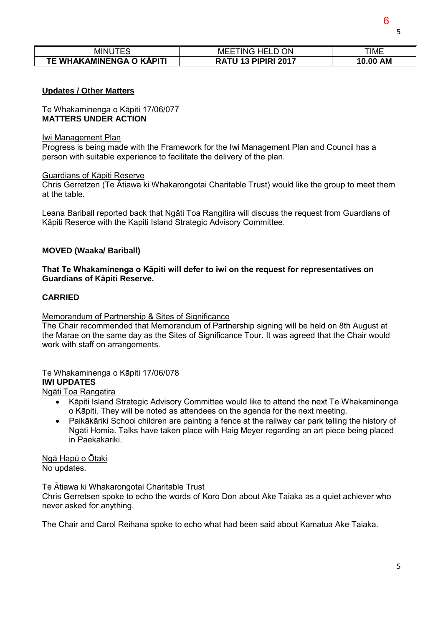| - |  |
|---|--|
|   |  |

| MINU<br>∼ –                          | ON<br>HEI<br>ING<br>MEE<br>டப   | <b>TIME</b>        |
|--------------------------------------|---------------------------------|--------------------|
| <b>TE WHAKAMINENGA O</b><br>O KĀPITI | <b>PIPIRI 2017</b><br>RА<br>л., | <b>AM</b><br>10.00 |

### **Updates / Other Matters**

Te Whakaminenga o Kāpiti 17/06/077 **MATTERS UNDER ACTION** 

#### Iwi Management Plan

Progress is being made with the Framework for the Iwi Management Plan and Council has a person with suitable experience to facilitate the delivery of the plan.

#### Guardians of Kāpiti Reserve

Chris Gerretzen (Te Ātiawa ki Whakarongotai Charitable Trust) would like the group to meet them at the table.

Leana Bariball reported back that Ngāti Toa Rangitira will discuss the request from Guardians of Kāpiti Reserce with the Kapiti Island Strategic Advisory Committee.

#### **MOVED (Waaka/ Bariball)**

### **That Te Whakaminenga o Kāpiti will defer to iwi on the request for representatives on Guardians of Kāpiti Reserve.**

### **CARRIED**

#### Memorandum of Partnership & Sites of Significance

The Chair recommended that Memorandum of Partnership signing will be held on 8th August at the Marae on the same day as the Sites of Significance Tour. It was agreed that the Chair would work with staff on arrangements.

## Te Whakaminenga o Kāpiti 17/06/078 **IWI UPDATES**

Ngāti Toa Rangatira

- Kāpiti Island Strategic Advisory Committee would like to attend the next Te Whakaminenga o Kāpiti. They will be noted as attendees on the agenda for the next meeting.
- Paikākāriki School children are painting a fence at the railway car park telling the history of Ngāti Homia. Talks have taken place with Haig Meyer regarding an art piece being placed in Paekakariki.

Ngā Hapū o Ōtaki No updates.

#### Te Ātiawa ki Whakarongotai Charitable Trust

Chris Gerretsen spoke to echo the words of Koro Don about Ake Taiaka as a quiet achiever who never asked for anything.

The Chair and Carol Reihana spoke to echo what had been said about Kamatua Ake Taiaka.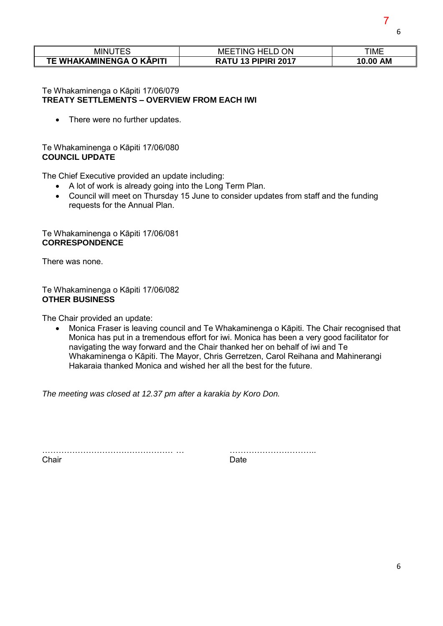| <b>MINUTES</b>           | TING HELD ON<br>MEEI       | <b>TIME</b>        |
|--------------------------|----------------------------|--------------------|
| TE WHAKAMINENGA O KĀPITI | <b>RATU 13 PIPIRI 2017</b> | <b>AM</b><br>10.00 |

### Te Whakaminenga o Kāpiti 17/06/079 **TREATY SETTLEMENTS – OVERVIEW FROM EACH IWI**

• There were no further updates.

## Te Whakaminenga o Kāpiti 17/06/080 **COUNCIL UPDATE**

The Chief Executive provided an update including:

- A lot of work is already going into the Long Term Plan.
- Council will meet on Thursday 15 June to consider updates from staff and the funding requests for the Annual Plan.

## Te Whakaminenga o Kāpiti 17/06/081 **CORRESPONDENCE**

There was none.

## Te Whakaminenga o Kāpiti 17/06/082 **OTHER BUSINESS**

The Chair provided an update:

 Monica Fraser is leaving council and Te Whakaminenga o Kāpiti. The Chair recognised that Monica has put in a tremendous effort for iwi. Monica has been a very good facilitator for navigating the way forward and the Chair thanked her on behalf of iwi and Te Whakaminenga o Kāpiti. The Mayor, Chris Gerretzen, Carol Reihana and Mahinerangi Hakaraia thanked Monica and wished her all the best for the future.

*The meeting was closed at 12.37 pm after a karakia by Koro Don.* 

………………………………………… … ………………………….. Chair **Date** 

6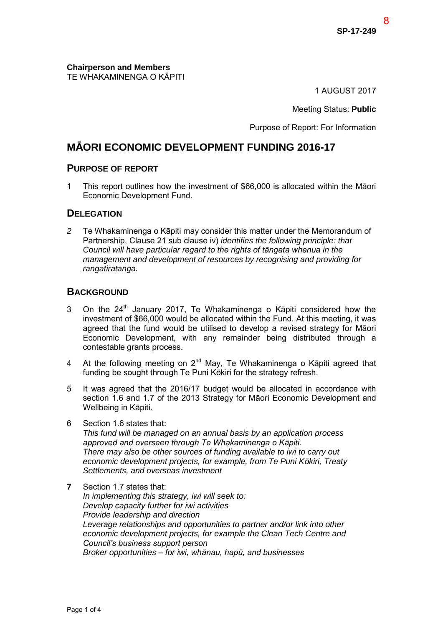8

**Chairperson and Members**  TE WHAKAMINENGA O KĀPITI

1 AUGUST 2017

Meeting Status: **Public**

Purpose of Report: For Information

## **MĀORI ECONOMIC DEVELOPMENT FUNDING 2016-17**

## **PURPOSE OF REPORT**

1 This report outlines how the investment of \$66,000 is allocated within the Māori Economic Development Fund.

## **DELEGATION**

*2* Te Whakaminenga o Kāpiti may consider this matter under the Memorandum of Partnership, Clause 21 sub clause iv) *identifies the following principle: that Council will have particular regard to the rights of tāngata whenua in the management and development of resources by recognising and providing for rangatiratanga.* 

## **BACKGROUND**

- 3 On the  $24<sup>th</sup>$  January 2017, Te Whakaminenga o Kāpiti considered how the investment of \$66,000 would be allocated within the Fund. At this meeting, it was agreed that the fund would be utilised to develop a revised strategy for Māori Economic Development, with any remainder being distributed through a contestable grants process.
- 4 At the following meeting on 2<sup>nd</sup> May, Te Whakaminenga o Kāpiti agreed that funding be sought through Te Puni Kōkiri for the strategy refresh.
- 5 It was agreed that the 2016/17 budget would be allocated in accordance with section 1.6 and 1.7 of the 2013 Strategy for Māori Economic Development and Wellbeing in Kāpiti.
- 6 Section 1.6 states that:

*This fund will be managed on an annual basis by an application process approved and overseen through Te Whakaminenga o Kāpiti. There may also be other sources of funding available to iwi to carry out economic development projects, for example, from Te Puni Kōkiri, Treaty Settlements, and overseas investment* 

## **7** Section 1.7 states that:

*In implementing this strategy, iwi will seek to: Develop capacity further for iwi activities Provide leadership and direction Leverage relationships and opportunities to partner and/or link into other economic development projects, for example the Clean Tech Centre and Council's business support person Broker opportunities – for iwi, whānau, hapū, and businesses*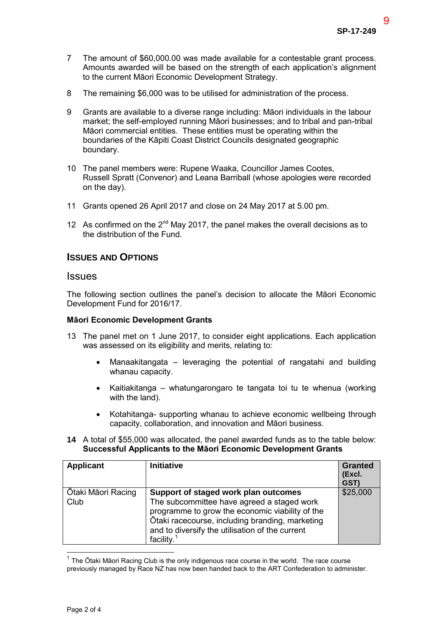9

- 7 The amount of \$60,000.00 was made available for a contestable grant process. Amounts awarded will be based on the strength of each application's alignment to the current Māori Economic Development Strategy.
- 8 The remaining \$6,000 was to be utilised for administration of the process.
- 9 Grants are available to a diverse range including: Māori individuals in the labour market; the self-employed running Māori businesses; and to tribal and pan-tribal Māori commercial entities. These entities must be operating within the boundaries of the Kāpiti Coast District Councils designated geographic boundary.
- 10 The panel members were: Rupene Waaka, Councillor James Cootes, Russell Spratt (Convenor) and Leana Barriball (whose apologies were recorded on the day).
- 11 Grants opened 26 April 2017 and close on 24 May 2017 at 5.00 pm.
- 12 As confirmed on the  $2^{nd}$  May 2017, the panel makes the overall decisions as to the distribution of the Fund.

## **ISSUES AND OPTIONS**

## **Issues**

The following section outlines the panel's decision to allocate the Māori Economic Development Fund for 2016/17.

#### **Māori Economic Development Grants**

- 13 The panel met on 1 June 2017, to consider eight applications. Each application was assessed on its eligibility and merits, relating to:
	- Manaakitangata leveraging the potential of rangatahi and building whanau capacity.
	- Kaitiakitanga whatungarongaro te tangata toi tu te whenua (working with the land).
	- Kotahitanga- supporting whanau to achieve economic wellbeing through capacity, collaboration, and innovation and Māori business.
- **14** A total of \$55,000 was allocated, the panel awarded funds as to the table below: **Successful Applicants to the Māori Economic Development Grants**

| <b>Applicant</b>           | <b>Initiative</b>                                                                                                                                                                                                                                            | <b>Granted</b><br>(Excl.<br>GST) |
|----------------------------|--------------------------------------------------------------------------------------------------------------------------------------------------------------------------------------------------------------------------------------------------------------|----------------------------------|
| Ōtaki Māori Racing<br>Club | Support of staged work plan outcomes<br>The subcommittee have agreed a staged work<br>programme to grow the economic viability of the<br>Ōtaki racecourse, including branding, marketing<br>and to diversify the utilisation of the current<br>facility. $1$ | \$25,000                         |

 $1$  The Ōtaki Māori Racing Club is the only indigenous race course in the world. The race course previously managed by Race NZ has now been handed back to the ART Confederation to administer.

 $\overline{\phantom{a}}$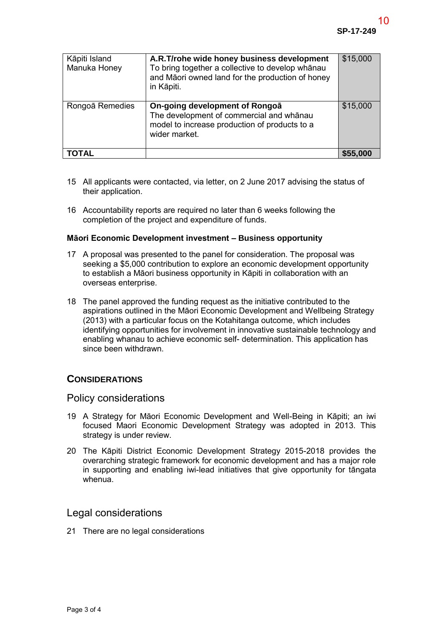| Kāpiti Island<br>Manuka Honey | A.R.T/rohe wide honey business development<br>To bring together a collective to develop whanau<br>and Māori owned land for the production of honey<br>in Kāpiti. | \$15,000 |
|-------------------------------|------------------------------------------------------------------------------------------------------------------------------------------------------------------|----------|
| Rongoā Remedies               | On-going development of Rongoa<br>The development of commercial and whānau<br>model to increase production of products to a<br>wider market.                     | \$15,000 |
| TAL                           |                                                                                                                                                                  | \$55,000 |

- 15 All applicants were contacted, via letter, on 2 June 2017 advising the status of their application.
- 16 Accountability reports are required no later than 6 weeks following the completion of the project and expenditure of funds.

#### **Māori Economic Development investment – Business opportunity**

- 17 A proposal was presented to the panel for consideration. The proposal was seeking a \$5,000 contribution to explore an economic development opportunity to establish a Māori business opportunity in Kāpiti in collaboration with an overseas enterprise.
- 18 The panel approved the funding request as the initiative contributed to the aspirations outlined in the Māori Economic Development and Wellbeing Strategy (2013) with a particular focus on the Kotahitanga outcome, which includes identifying opportunities for involvement in innovative sustainable technology and enabling whanau to achieve economic self- determination. This application has since been withdrawn.

## **CONSIDERATIONS**

## Policy considerations

- 19 A Strategy for Māori Economic Development and Well-Being in Kāpiti; an iwi focused Maori Economic Development Strategy was adopted in 2013. This strategy is under review.
- 20 The Kāpiti District Economic Development Strategy 2015-2018 provides the overarching strategic framework for economic development and has a major role in supporting and enabling iwi-lead initiatives that give opportunity for tāngata whenua.

## Legal considerations

21 There are no legal considerations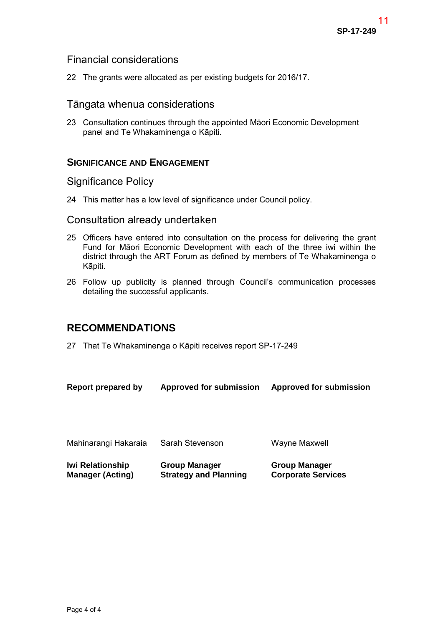## Financial considerations

22 The grants were allocated as per existing budgets for 2016/17.

## Tāngata whenua considerations

23 Consultation continues through the appointed Māori Economic Development panel and Te Whakaminenga o Kāpiti.

## **SIGNIFICANCE AND ENGAGEMENT**

## Significance Policy

24 This matter has a low level of significance under Council policy.

## Consultation already undertaken

- 25 Officers have entered into consultation on the process for delivering the grant Fund for Māori Economic Development with each of the three iwi within the district through the ART Forum as defined by members of Te Whakaminenga o Kāpiti.
- 26 Follow up publicity is planned through Council's communication processes detailing the successful applicants.

## **RECOMMENDATIONS**

27 That Te Whakaminenga o Kāpiti receives report SP-17-249

| Report prepared by | <b>Approved for submission</b> | <b>Approved for submission</b> |  |
|--------------------|--------------------------------|--------------------------------|--|
|                    |                                |                                |  |

| Mahinarangi Hakaraia    | Sarah Stevenson              | Wayne Maxwell             |
|-------------------------|------------------------------|---------------------------|
| <b>Iwi Relationship</b> | <b>Group Manager</b>         | <b>Group Manager</b>      |
| <b>Manager (Acting)</b> | <b>Strategy and Planning</b> | <b>Corporate Services</b> |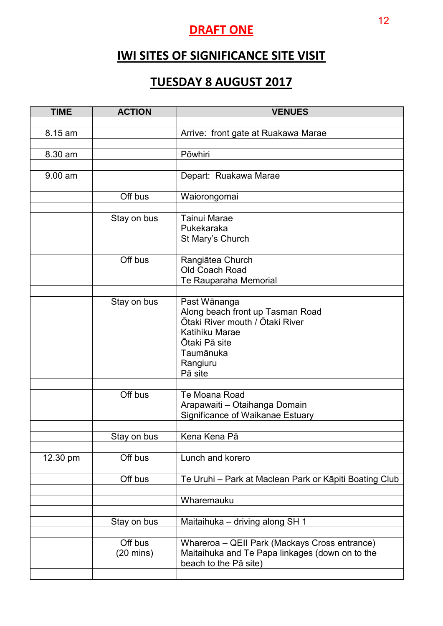# **DRAFT ONE**

# **IWI SITES OF SIGNIFICANCE SITE VISIT**

# **TUESDAY 8 AUGUST 2017**

| <b>TIME</b> | <b>ACTION</b>                  | <b>VENUES</b>                                                                                                                              |
|-------------|--------------------------------|--------------------------------------------------------------------------------------------------------------------------------------------|
| 8.15 am     |                                | Arrive: front gate at Ruakawa Marae                                                                                                        |
|             |                                |                                                                                                                                            |
| 8.30 am     |                                | Pōwhiri                                                                                                                                    |
| $9.00$ am   |                                | Depart: Ruakawa Marae                                                                                                                      |
|             |                                |                                                                                                                                            |
|             | Off bus                        | Waiorongomai                                                                                                                               |
|             | Stay on bus                    | <b>Tainui Marae</b><br>Pukekaraka<br>St Mary's Church                                                                                      |
|             | Off bus                        | Rangiātea Church<br>Old Coach Road<br>Te Rauparaha Memorial                                                                                |
|             | Stay on bus                    | Past Wānanga                                                                                                                               |
|             |                                | Along beach front up Tasman Road<br>Ōtaki River mouth / Ōtaki River<br>Katihiku Marae<br>Ōtaki Pā site<br>Taumānuka<br>Rangiuru<br>Pā site |
|             | Off bus                        | Te Moana Road                                                                                                                              |
|             |                                | Arapawaiti - Otaihanga Domain<br>Significance of Waikanae Estuary                                                                          |
|             | Stay on bus                    | Kena Kena Pā                                                                                                                               |
| 12.30 pm    | Off bus                        | Lunch and korero                                                                                                                           |
|             | Off bus                        | Te Uruhi – Park at Maclean Park or Kāpiti Boating Club                                                                                     |
|             |                                | Wharemauku                                                                                                                                 |
|             | Stay on bus                    | Maitaihuka - driving along SH 1                                                                                                            |
|             | Off bus<br>$(20 \text{ mins})$ | Whareroa – QEII Park (Mackays Cross entrance)<br>Maitaihuka and Te Papa linkages (down on to the<br>beach to the Pā site)                  |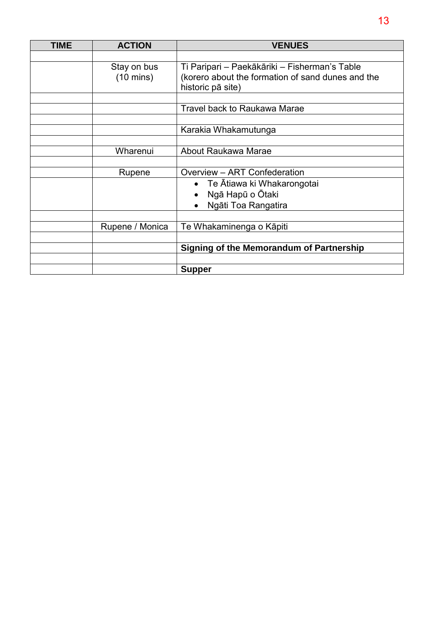| <b>TIME</b> | <b>ACTION</b>                      | <b>VENUES</b>                                                                                                           |  |
|-------------|------------------------------------|-------------------------------------------------------------------------------------------------------------------------|--|
|             |                                    |                                                                                                                         |  |
|             | Stay on bus<br>$(10 \text{ mins})$ | Ti Paripari - Paekākāriki - Fisherman's Table<br>(korero about the formation of sand dunes and the<br>historic pā site) |  |
|             |                                    | <b>Travel back to Raukawa Marae</b>                                                                                     |  |
|             |                                    |                                                                                                                         |  |
|             |                                    | Karakia Whakamutunga                                                                                                    |  |
|             |                                    |                                                                                                                         |  |
|             | Wharenui                           | About Raukawa Marae                                                                                                     |  |
|             |                                    |                                                                                                                         |  |
|             | Rupene                             | Overview - ART Confederation                                                                                            |  |
|             |                                    | • Te Ātiawa ki Whakarongotai                                                                                            |  |
|             |                                    | Ngā Hapū o Ōtaki                                                                                                        |  |
|             |                                    | Ngāti Toa Rangatira                                                                                                     |  |
|             |                                    |                                                                                                                         |  |
|             | Rupene / Monica                    | Te Whakaminenga o Kāpiti                                                                                                |  |
|             |                                    |                                                                                                                         |  |
|             |                                    | Signing of the Memorandum of Partnership                                                                                |  |
|             |                                    |                                                                                                                         |  |
|             |                                    | <b>Supper</b>                                                                                                           |  |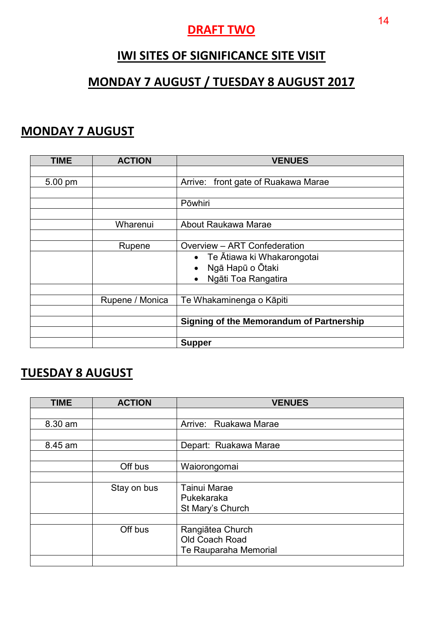## **DRAFT TWO**

# **IWI SITES OF SIGNIFICANCE SITE VISIT**

# **MONDAY 7 AUGUST / TUESDAY 8 AUGUST 2017**

## **MONDAY 7 AUGUST**

| <b>TIME</b> | <b>ACTION</b>   | <b>VENUES</b>                                   |  |
|-------------|-----------------|-------------------------------------------------|--|
|             |                 |                                                 |  |
| 5.00 pm     |                 | front gate of Ruakawa Marae<br>Arrive:          |  |
|             |                 |                                                 |  |
|             |                 | Pōwhiri                                         |  |
|             |                 |                                                 |  |
|             | Wharenui        | About Raukawa Marae                             |  |
|             |                 |                                                 |  |
|             | Rupene          | Overview - ART Confederation                    |  |
|             |                 | • Te Ātiawa ki Whakarongotai                    |  |
|             |                 | Ngā Hapū o Ōtaki<br>$\bullet$                   |  |
|             |                 | Ngāti Toa Rangatira<br>$\bullet$                |  |
|             |                 |                                                 |  |
|             | Rupene / Monica | Te Whakaminenga o Kāpiti                        |  |
|             |                 |                                                 |  |
|             |                 | <b>Signing of the Memorandum of Partnership</b> |  |
|             |                 |                                                 |  |
|             |                 | <b>Supper</b>                                   |  |

# **TUESDAY 8 AUGUST**

| <b>TIME</b> | <b>ACTION</b> | <b>VENUES</b>         |
|-------------|---------------|-----------------------|
|             |               |                       |
| 8.30 am     |               | Arrive: Ruakawa Marae |
|             |               |                       |
| 8.45 am     |               | Depart: Ruakawa Marae |
|             |               |                       |
|             | Off bus       | Waiorongomai          |
|             |               |                       |
|             | Stay on bus   | <b>Tainui Marae</b>   |
|             |               | Pukekaraka            |
|             |               | St Mary's Church      |
|             |               |                       |
|             | Off bus       | Rangiātea Church      |
|             |               | Old Coach Road        |
|             |               | Te Rauparaha Memorial |
|             |               |                       |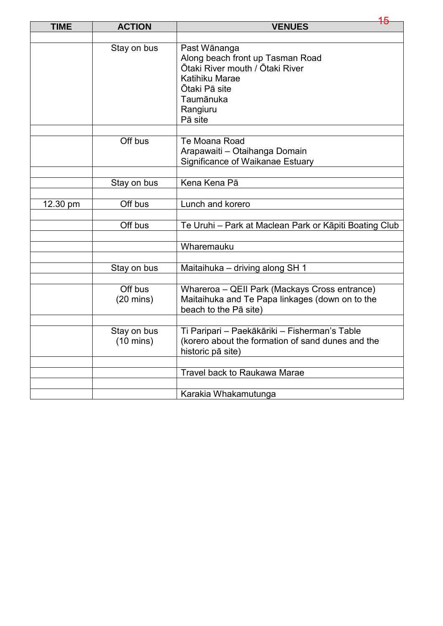| <b>TIME</b> | <b>ACTION</b>                      | 15<br><b>VENUES</b>                                                                                                                                        |
|-------------|------------------------------------|------------------------------------------------------------------------------------------------------------------------------------------------------------|
|             |                                    |                                                                                                                                                            |
|             | Stay on bus                        | Past Wānanga<br>Along beach front up Tasman Road<br>Ōtaki River mouth / Ōtaki River<br>Katihiku Marae<br>Ōtaki Pā site<br>Taumānuka<br>Rangiuru<br>Pā site |
|             | Off bus                            | Te Moana Road<br>Arapawaiti - Otaihanga Domain<br>Significance of Waikanae Estuary                                                                         |
|             |                                    |                                                                                                                                                            |
|             | Stay on bus                        | Kena Kena Pā                                                                                                                                               |
| 12.30 pm    | Off bus                            | Lunch and korero                                                                                                                                           |
|             | Off bus                            | Te Uruhi - Park at Maclean Park or Kāpiti Boating Club                                                                                                     |
|             |                                    | Wharemauku                                                                                                                                                 |
|             |                                    |                                                                                                                                                            |
|             | Stay on bus                        | Maitaihuka - driving along SH 1                                                                                                                            |
|             |                                    |                                                                                                                                                            |
|             | Off bus<br>$(20 \text{ mins})$     | Whareroa - QEII Park (Mackays Cross entrance)<br>Maitaihuka and Te Papa linkages (down on to the<br>beach to the Pā site)                                  |
|             |                                    |                                                                                                                                                            |
|             | Stay on bus<br>$(10 \text{ mins})$ | Ti Paripari - Paekākāriki - Fisherman's Table<br>(korero about the formation of sand dunes and the<br>historic pā site)                                    |
|             |                                    |                                                                                                                                                            |
|             |                                    | Travel back to Raukawa Marae                                                                                                                               |
|             |                                    |                                                                                                                                                            |
|             |                                    | Karakia Whakamutunga                                                                                                                                       |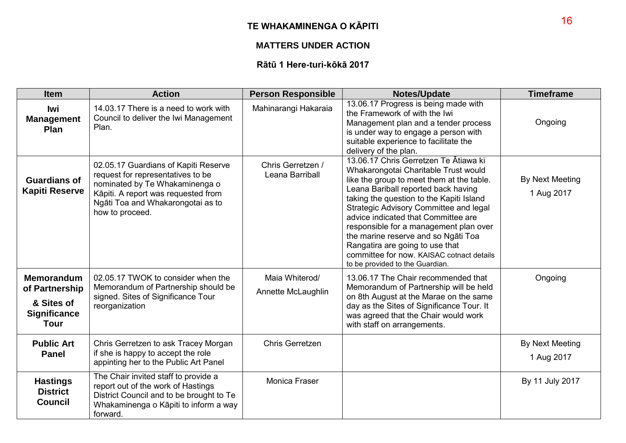## **TE WHAKAMINENGA O KĀPITI**

## **MATTERS UNDER ACTION**

## **Rātū 1 Here-turi-kōkā 2017**

| <b>Item</b>                                                                             | <b>Action</b>                                                                                                                                                                                              | <b>Person Responsible</b>            | <b>Notes/Update</b>                                                                                                                                                                                                                                                                                                                                                                                                                                                                                | <b>Timeframe</b>                     |
|-----------------------------------------------------------------------------------------|------------------------------------------------------------------------------------------------------------------------------------------------------------------------------------------------------------|--------------------------------------|----------------------------------------------------------------------------------------------------------------------------------------------------------------------------------------------------------------------------------------------------------------------------------------------------------------------------------------------------------------------------------------------------------------------------------------------------------------------------------------------------|--------------------------------------|
| lwi<br><b>Management</b><br>Plan                                                        | 14.03.17 There is a need to work with<br>Council to deliver the Iwi Management<br>Plan.                                                                                                                    | Mahinarangi Hakaraia                 | 13.06.17 Progress is being made with<br>the Framework of with the Iwi<br>Management plan and a tender process<br>is under way to engage a person with<br>suitable experience to facilitate the<br>delivery of the plan.                                                                                                                                                                                                                                                                            | Ongoing                              |
| <b>Guardians of</b><br><b>Kapiti Reserve</b>                                            | 02.05.17 Guardians of Kapiti Reserve<br>request for representatives to be<br>nominated by Te Whakaminenga o<br>Kāpiti. A report was requested from<br>Ngāti Toa and Whakarongotai as to<br>how to proceed. | Chris Gerretzen /<br>Leana Barriball | 13.06.17 Chris Gerretzen Te Ātiawa ki<br>Whakarongotai Charitable Trust would<br>like the group to meet them at the table.<br>Leana Bariball reported back having<br>taking the question to the Kapiti Island<br>Strategic Advisory Committee and legal<br>advice indicated that Committee are<br>responsible for a management plan over<br>the marine reserve and so Ngati Toa<br>Rangatira are going to use that<br>committee for now. KAISAC cotnact details<br>to be provided to the Guardian. | By Next Meeting<br>1 Aug 2017        |
| <b>Memorandum</b><br>of Partnership<br>& Sites of<br><b>Significance</b><br><b>Tour</b> | 02.05.17 TWOK to consider when the<br>Memorandum of Partnership should be<br>signed. Sites of Significance Tour<br>reorganization                                                                          | Maia Whiterod/<br>Annette McLaughlin | 13.06.17 The Chair recommended that<br>Memorandum of Partnership will be held<br>on 8th August at the Marae on the same<br>day as the Sites of Significance Tour. It<br>was agreed that the Chair would work<br>with staff on arrangements.                                                                                                                                                                                                                                                        | Ongoing                              |
| <b>Public Art</b><br><b>Panel</b>                                                       | Chris Gerretzen to ask Tracey Morgan<br>if she is happy to accept the role<br>appinting her to the Public Art Panel                                                                                        | Chris Gerretzen                      |                                                                                                                                                                                                                                                                                                                                                                                                                                                                                                    | <b>By Next Meeting</b><br>1 Aug 2017 |
| <b>Hastings</b><br><b>District</b><br><b>Council</b>                                    | The Chair invited staff to provide a<br>report out of the work of Hastings<br>District Council and to be brought to Te<br>Whakaminenga o Kāpiti to inform a way<br>forward.                                | Monica Fraser                        |                                                                                                                                                                                                                                                                                                                                                                                                                                                                                                    | By 11 July 2017                      |